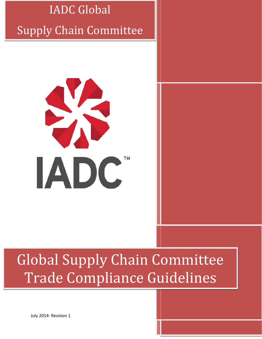

# Global Supply Chain Committee Trade Compliance Guidelines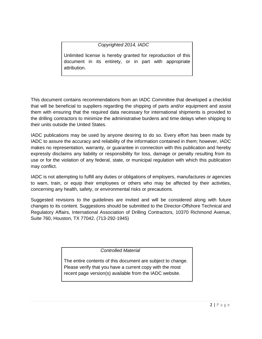*Copyrighted 2014, IADC*

Unlimited license is hereby granted for reproduction of this document in its entirety, or in part with appropriate attribution.

This document contains recommendations from an IADC Committee that developed a checklist that will be beneficial to suppliers regarding the shipping of parts and/or equipment and assist them with ensuring that the required data necessary for international shipments is provided to the drilling contractors to minimize the administrative burdens and time delays when shipping to their units outside the United States.

IADC publications may be used by anyone desiring to do so. Every effort has been made by IADC to assure the accuracy and reliability of the information contained in them; however, IADC makes no representation, warranty, or guarantee in connection with this publication and hereby expressly disclaims any liability or responsibility for loss, damage or penalty resulting from its use or for the violation of any federal, state, or municipal regulation with which this publication may conflict.

IADC is not attempting to fulfill any duties or obligations of employers, manufactures or agencies to warn, train, or equip their employees or others who may be affected by their activities, concerning any health, safety, or environmental risks or precautions.

Suggested revisions to the guidelines are invited and will be considered along with future changes to its content. Suggestions should be submitted to the Director-Offshore Technical and Regulatory Affairs, International Association of Drilling Contractors, 10370 Richmond Avenue, Suite 760, Houston, TX 77042. (713-292-1945)

 *Controlled Material*

The entire contents of this document are subject to change. Please verify that you have a current copy with the most recent page version(s) available from the IADC website.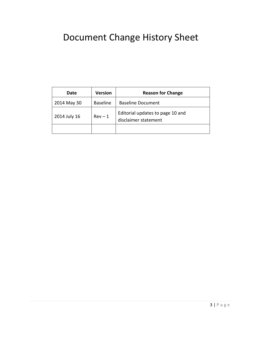# Document Change History Sheet

| Date         | <b>Version</b>  | <b>Reason for Change</b>                                 |
|--------------|-----------------|----------------------------------------------------------|
| 2014 May 30  | <b>Baseline</b> | <b>Baseline Document</b>                                 |
| 2014 July 16 | $Rev - 1$       | Editorial updates to page 10 and<br>disclaimer statement |
|              |                 |                                                          |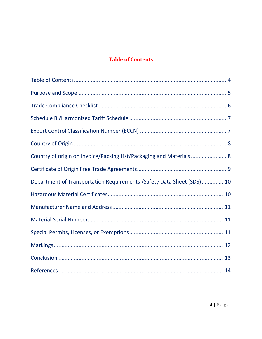#### **Table of Contents**

<span id="page-3-0"></span>

| Country of origin on Invoice/Packing List/Packaging and Materials 8    |
|------------------------------------------------------------------------|
|                                                                        |
| Department of Transportation Requirements / Safety Data Sheet (SDS) 10 |
|                                                                        |
|                                                                        |
|                                                                        |
|                                                                        |
|                                                                        |
|                                                                        |
|                                                                        |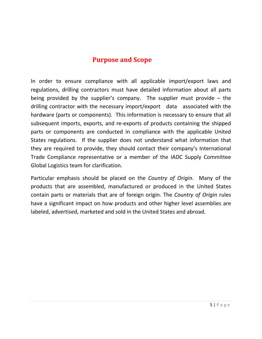#### **Purpose and Scope**

<span id="page-4-0"></span>In order to ensure compliance with all applicable import/export laws and regulations, drilling contractors must have detailed information about all parts being provided by the supplier's company. The supplier must provide  $-$  the drilling contractor with the necessary import/export data associated with the hardware (parts or components). This information is necessary to ensure that all subsequent imports, exports, and re-exports of products containing the shipped parts or components are conducted in compliance with the applicable United States regulations. If the supplier does not understand what information that they are required to provide, they should contact their company's International Trade Compliance representative or a member of the IADC Supply Committee Global Logistics team for clarification.

Particular emphasis should be placed on the *Country of Origin*. Many of the products that are assembled, manufactured or produced in the United States contain parts or materials that are of foreign origin. The *Country of Origin* rules have a significant impact on how products and other higher level assemblies are labeled, advertised, marketed and sold in the United States and abroad.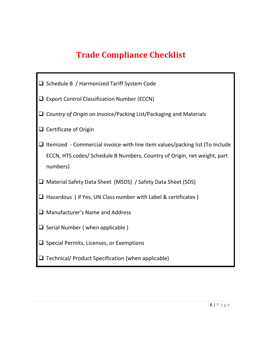## **Trade Compliance Checklist**

<span id="page-5-0"></span>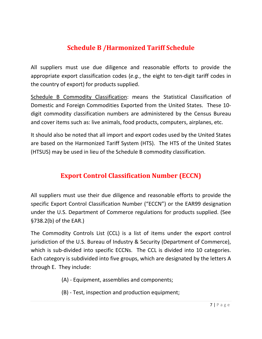## **Schedule B /Harmonized Tariff Schedule**

<span id="page-6-0"></span>All suppliers must use due diligence and reasonable efforts to provide the appropriate export classification codes (*e.g.*, the eight to ten-digit tariff codes in the country of export) for products supplied.

Schedule B Commodity Classification: means the Statistical Classification of Domestic and Foreign Commodities Exported from the United States. These 10 digit commodity classification numbers are administered by the Census Bureau and cover items such as: live animals, food products, computers, airplanes, etc.

It should also be noted that all import and export codes used by the United States are based on the Harmonized Tariff System (HTS). The HTS of the United States (HTSUS) may be used in lieu of the Schedule B commodity classification.

#### **Export Control Classification Number (ECCN)**

<span id="page-6-1"></span>All suppliers must use their due diligence and reasonable efforts to provide the specific Export Control Classification Number ("ECCN") or the EAR99 designation under the U.S. Department of Commerce regulations for products supplied. (See §738.2(b) of the EAR.)

The Commodity Controls List (CCL) is a list of items under the export control jurisdiction of the U.S. Bureau of Industry & Security (Department of Commerce), which is sub-divided into specific ECCNs. The CCL is divided into 10 categories. Each category is subdivided into five groups, which are designated by the letters A through E. They include:

- (A) Equipment, assemblies and components;
- (B) Test, inspection and production equipment;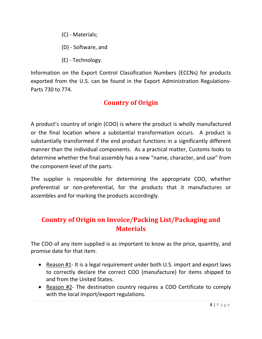- (C) Materials;
- (D) Software, and
- (E) Technology.

Information on the Export Control Classification Numbers (ECCNs) for products exported from the U.S. can be found in the Export Administration Regulations-Parts 730 to 774.

#### **Country of Origin**

<span id="page-7-0"></span>A product's country of origin (COO) is where the product is wholly manufactured or the final location where a substantial transformation occurs. A product is substantially transformed if the end product functions in a significantly different manner than the individual components. As a practical matter, Customs looks to determine whether the final assembly has a new "name, character, and use" from the component-level of the parts.

The supplier is responsible for determining the appropriate COO, whether preferential or non-preferential, for the products that it manufactures or assembles and for marking the products accordingly.

#### <span id="page-7-1"></span>**Country of Origin on Invoice/Packing List/Packaging and Materials**

The COO of any item supplied is as important to know as the price, quantity, and promise date for that item.

- Reason #1- It is a legal requirement under both U.S. import and export laws to correctly declare the correct COO (manufacture) for items shipped to and from the United States.
- Reason #2- The destination country requires a COO Certificate to comply with the local import/export regulations.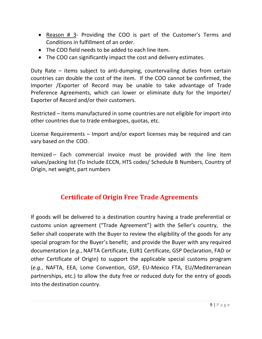- Reason # 3- Providing the COO is part of the Customer's Terms and Conditions in fulfillment of an order.
- The COO field needs to be added to each line item.
- The COO can significantly impact the cost and delivery estimates.

Duty Rate – items subject to anti-dumping, countervailing duties from certain countries can double the cost of the item. If the COO cannot be confirmed, the Importer /Exporter of Record may be unable to take advantage of Trade Preference Agreements, which can lower or eliminate duty for the Importer/ Exporter of Record and/or their customers.

Restricted – Items manufactured in some countries are not eligible for import into other countries due to trade embargoes, quotas, etc.

License Requirements – Import and/or export licenses may be required and can vary based on the COO.

<span id="page-8-0"></span>Itemized – Each commercial invoice must be provided with the line item values/packing list (To Include ECCN, HTS codes/ Schedule B Numbers, Country of Origin, net weight, part numbers

#### **Certificate of Origin Free Trade Agreements**

If goods will be delivered to a destination country having a trade preferential or customs union agreement ("Trade Agreement") with the Seller's country, the Seller shall cooperate with the Buyer to review the eligibility of the goods for any special program for the Buyer's benefit; and provide the Buyer with any required documentation (*e.g.*, NAFTA Certificate, EUR1 Certificate, GSP Declaration, FAD or other Certificate of Origin) to support the applicable special customs program (*e.g.*, NAFTA, EEA, Lome Convention, GSP, EU-Mexico FTA, EU/Mediterranean partnerships, etc.) to allow the duty free or reduced duty for the entry of goods into the destination country.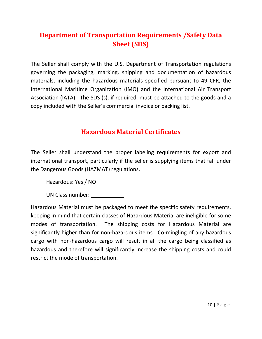## <span id="page-9-0"></span>**Department of Transportation Requirements /Safety Data Sheet (SDS)**

The Seller shall comply with the U.S. Department of Transportation regulations governing the packaging, marking, shipping and documentation of hazardous materials, including the hazardous materials specified pursuant to 49 CFR, the International Maritime Organization (IMO) and the International Air Transport Association (IATA). The SDS (s), if required, must be attached to the goods and a copy included with the Seller's commercial invoice or packing list.

#### **Hazardous Material Certificates**

<span id="page-9-1"></span>The Seller shall understand the proper labeling requirements for export and international transport, particularly if the seller is supplying items that fall under the Dangerous Goods (HAZMAT) regulations.

Hazardous: Yes / NO

UN Class number:

<span id="page-9-2"></span>Hazardous Material must be packaged to meet the specific safety requirements, keeping in mind that certain classes of Hazardous Material are ineligible for some modes of transportation. The shipping costs for Hazardous Material are significantly higher than for non-hazardous items. Co-mingling of any hazardous cargo with non-hazardous cargo will result in all the cargo being classified as hazardous and therefore will significantly increase the shipping costs and could restrict the mode of transportation.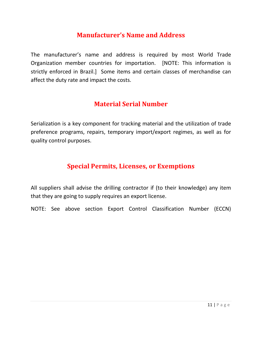#### **Manufacturer's Name and Address**

The manufacturer's name and address is required by most World Trade Organization member countries for importation. [NOTE: This information is strictly enforced in Brazil.] Some items and certain classes of merchandise can affect the duty rate and impact the costs.

#### **Material Serial Number**

<span id="page-10-0"></span>Serialization is a key component for tracking material and the utilization of trade preference programs, repairs, temporary import/export regimes, as well as for quality control purposes.

#### **Special Permits, Licenses, or Exemptions**

<span id="page-10-1"></span>All suppliers shall advise the drilling contractor if (to their knowledge) any item that they are going to supply requires an export license.

NOTE: See above section Export Control Classification Number (ECCN)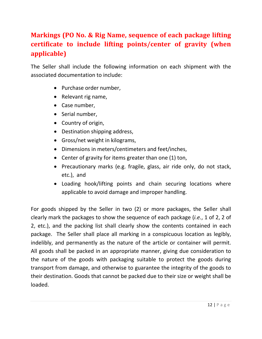## **Markings (PO No. & Rig Name, sequence of each package lifting certificate to include lifting points/center of gravity (when applicable)**

The Seller shall include the following information on each shipment with the associated documentation to include:

- Purchase order number,
- Relevant rig name,
- Case number,
- Serial number,
- Country of origin,
- Destination shipping address,
- Gross/net weight in kilograms,
- Dimensions in meters/centimeters and feet/inches,
- Center of gravity for items greater than one (1) ton,
- Precautionary marks (e.g. fragile, glass, air ride only, do not stack, etc.), and
- Loading hook/lifting points and chain securing locations where applicable to avoid damage and improper handling.

For goods shipped by the Seller in two (2) or more packages, the Seller shall clearly mark the packages to show the sequence of each package (*i.e.*, 1 of 2, 2 of 2, etc.), and the packing list shall clearly show the contents contained in each package. The Seller shall place all marking in a conspicuous location as legibly, indelibly, and permanently as the nature of the article or container will permit. All goods shall be packed in an appropriate manner, giving due consideration to the nature of the goods with packaging suitable to protect the goods during transport from damage, and otherwise to guarantee the integrity of the goods to their destination. Goods that cannot be packed due to their size or weight shall be loaded.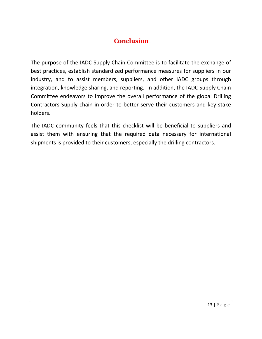#### **Conclusion**

<span id="page-12-0"></span>The purpose of the IADC Supply Chain Committee is to facilitate the exchange of best practices, establish standardized performance measures for suppliers in our industry, and to assist members, suppliers, and other IADC groups through integration, knowledge sharing, and reporting. In addition, the IADC Supply Chain Committee endeavors to improve the overall performance of the global Drilling Contractors Supply chain in order to better serve their customers and key stake holders.

The IADC community feels that this checklist will be beneficial to suppliers and assist them with ensuring that the required data necessary for international shipments is provided to their customers, especially the drilling contractors.